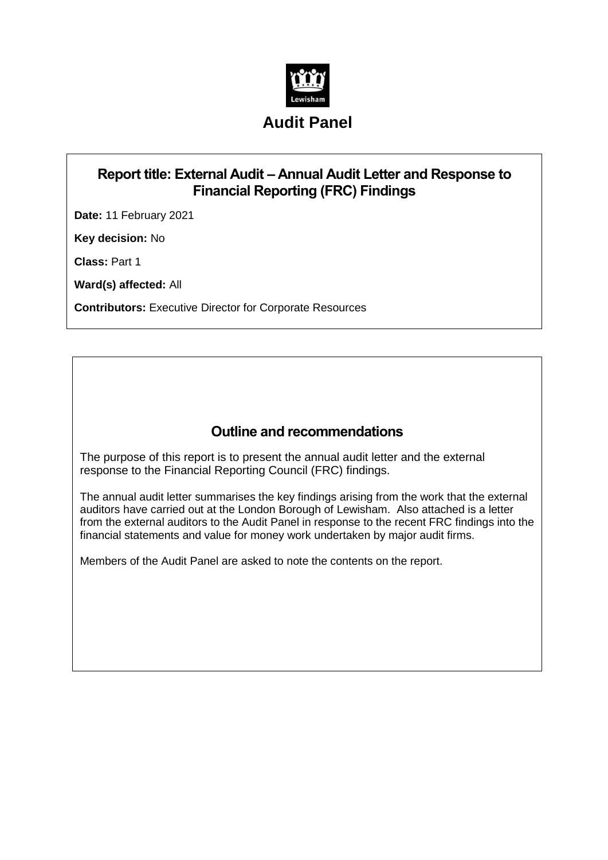

# **Audit Panel**

## **Report title: External Audit – Annual Audit Letter and Response to Financial Reporting (FRC) Findings**

**Date:** 11 February 2021

**Key decision:** No

**Class:** Part 1

**Ward(s) affected:** All

**Contributors:** Executive Director for Corporate Resources

#### **Outline and recommendations**

The purpose of this report is to present the annual audit letter and the external response to the Financial Reporting Council (FRC) findings.

The annual audit letter summarises the key findings arising from the work that the external auditors have carried out at the London Borough of Lewisham. Also attached is a letter from the external auditors to the Audit Panel in response to the recent FRC findings into the financial statements and value for money work undertaken by major audit firms.

Members of the Audit Panel are asked to note the contents on the report.